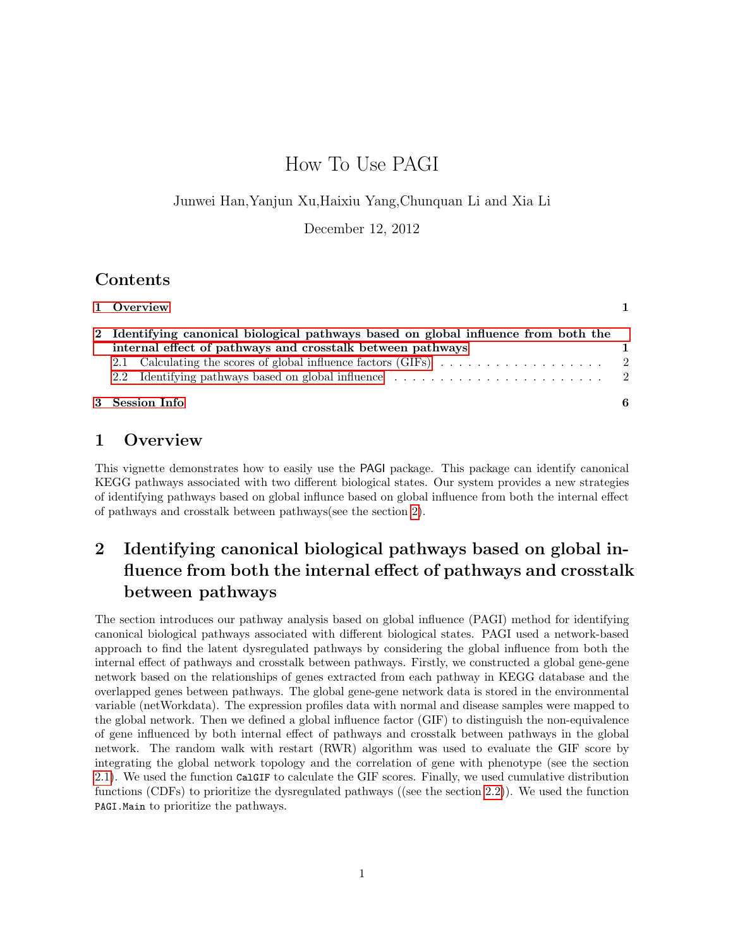# How To Use PAGI

Junwei Han,Yanjun Xu,Haixiu Yang,Chunquan Li and Xia Li

December 12, 2012

### Contents

| 3 Session Info                                                                      | 6 |
|-------------------------------------------------------------------------------------|---|
|                                                                                     |   |
|                                                                                     |   |
| internal effect of pathways and crosstalk between pathways                          |   |
| 2 Identifying canonical biological pathways based on global influence from both the |   |
| 1 Overview                                                                          |   |

### <span id="page-0-0"></span>1 Overview

This vignette demonstrates how to easily use the PAGI package. This package can identify canonical KEGG pathways associated with two different biological states. Our system provides a new strategies of identifying pathways based on global influnce based on global influence from both the internal effect of pathways and crosstalk between pathways(see the section [2\)](#page-0-1).

# <span id="page-0-1"></span>2 Identifying canonical biological pathways based on global influence from both the internal effect of pathways and crosstalk between pathways

The section introduces our pathway analysis based on global influence (PAGI) method for identifying canonical biological pathways associated with different biological states. PAGI used a network-based approach to find the latent dysregulated pathways by considering the global influence from both the internal effect of pathways and crosstalk between pathways. Firstly, we constructed a global gene-gene network based on the relationships of genes extracted from each pathway in KEGG database and the overlapped genes between pathways. The global gene-gene network data is stored in the environmental variable (netWorkdata). The expression profiles data with normal and disease samples were mapped to the global network. Then we defined a global influence factor (GIF) to distinguish the non-equivalence of gene influenced by both internal effect of pathways and crosstalk between pathways in the global network. The random walk with restart (RWR) algorithm was used to evaluate the GIF score by integrating the global network topology and the correlation of gene with phenotype (see the section [2.1\)](#page-1-0). We used the function CalGIF to calculate the GIF scores. Finally, we used cumulative distribution functions (CDFs) to prioritize the dysregulated pathways ((see the section [2.2\)](#page-1-1)). We used the function PAGI.Main to prioritize the pathways.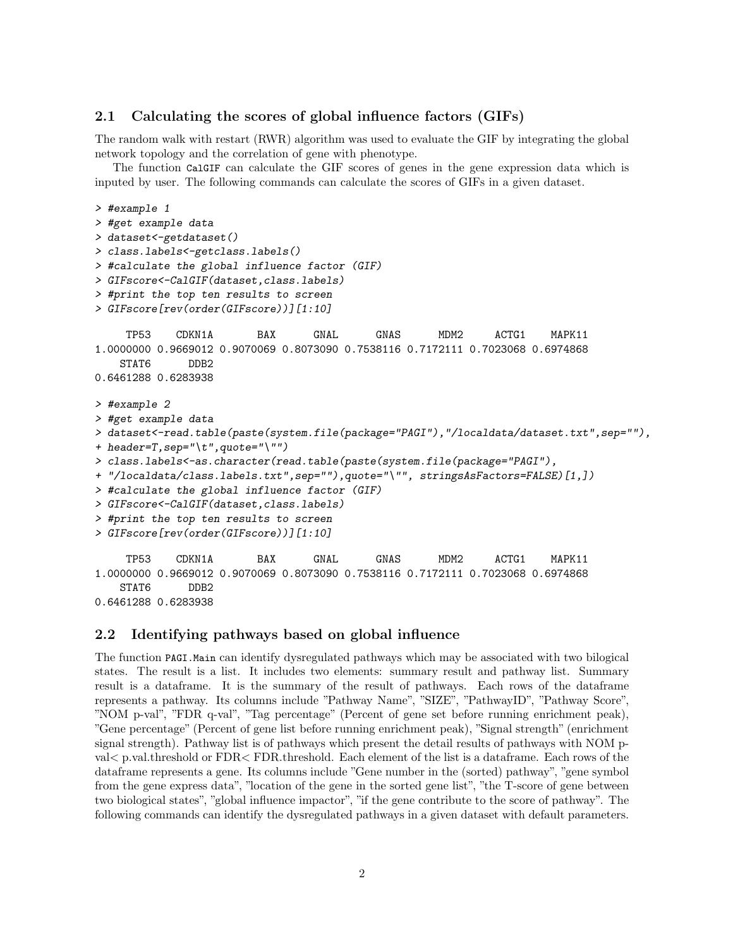#### <span id="page-1-0"></span>2.1 Calculating the scores of global influence factors (GIFs)

The random walk with restart (RWR) algorithm was used to evaluate the GIF by integrating the global network topology and the correlation of gene with phenotype.

The function CalGIF can calculate the GIF scores of genes in the gene expression data which is inputed by user. The following commands can calculate the scores of GIFs in a given dataset.

```
> #example 1
> #get example data
> dataset<-getdataset()
> class.labels<-getclass.labels()
> #calculate the global influence factor (GIF)
> GIFscore<-CalGIF(dataset,class.labels)
> #print the top ten results to screen
> GIFscore[rev(order(GIFscore))][1:10]
    TP53 CDKN1A BAX GNAL GNAS MDM2 ACTG1 MAPK11
1.0000000 0.9669012 0.9070069 0.8073090 0.7538116 0.7172111 0.7023068 0.6974868
   STAT6 DDB2
0.6461288 0.6283938
> #example 2
> #get example data
> dataset<-read.table(paste(system.file(package="PAGI"),"/localdata/dataset.txt",sep=""),
+ header=T,sep="\t",quote="\"")
> class.labels<-as.character(read.table(paste(system.file(package="PAGI"),
+ "/localdata/class.labels.txt",sep=""),quote="\"", stringsAsFactors=FALSE)[1,])
> #calculate the global influence factor (GIF)
> GIFscore<-CalGIF(dataset,class.labels)
> #print the top ten results to screen
> GIFscore[rev(order(GIFscore))][1:10]
    TP53 CDKN1A BAX GNAL GNAS MDM2 ACTG1 MAPK11
1.0000000 0.9669012 0.9070069 0.8073090 0.7538116 0.7172111 0.7023068 0.6974868
   STAT6 DDB2
0.6461288 0.6283938
```
#### <span id="page-1-1"></span>2.2 Identifying pathways based on global influence

The function PAGI.Main can identify dysregulated pathways which may be associated with two bilogical states. The result is a list. It includes two elements: summary result and pathway list. Summary result is a dataframe. It is the summary of the result of pathways. Each rows of the dataframe represents a pathway. Its columns include "Pathway Name", "SIZE", "PathwayID", "Pathway Score", "NOM p-val", "FDR q-val", "Tag percentage" (Percent of gene set before running enrichment peak), "Gene percentage" (Percent of gene list before running enrichment peak), "Signal strength" (enrichment signal strength). Pathway list is of pathways which present the detail results of pathways with NOM pval< p.val.threshold or FDR< FDR.threshold. Each element of the list is a dataframe. Each rows of the dataframe represents a gene. Its columns include "Gene number in the (sorted) pathway", "gene symbol from the gene express data", "location of the gene in the sorted gene list", "the T-score of gene between two biological states", "global influence impactor", "if the gene contribute to the score of pathway". The following commands can identify the dysregulated pathways in a given dataset with default parameters.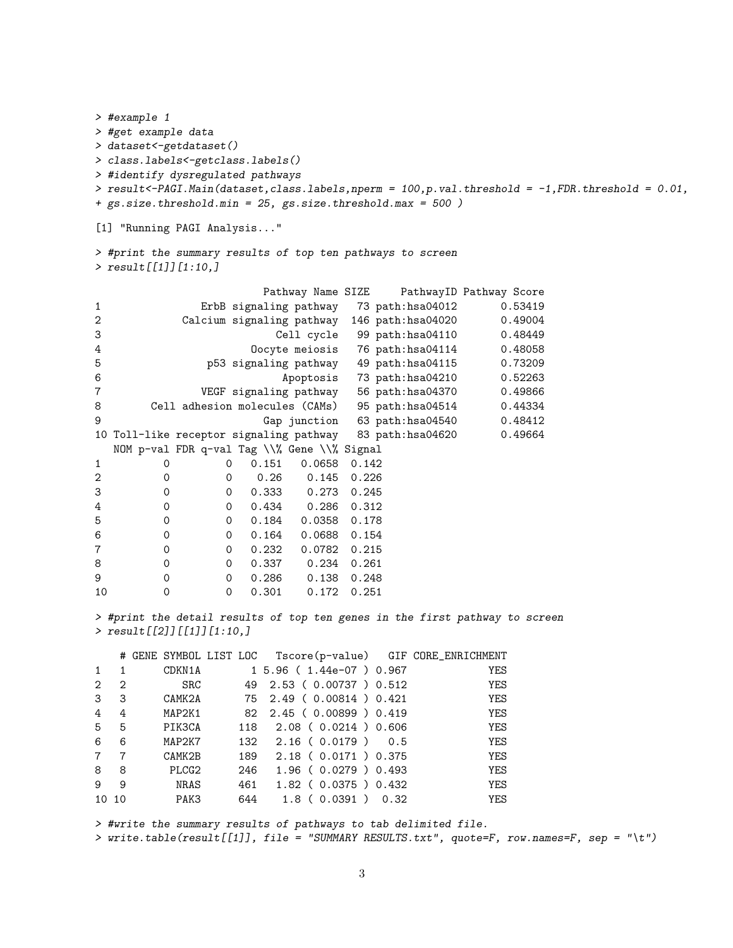```
> #example 1
> #get example data
> dataset<-getdataset()
> class.labels<-getclass.labels()
> #identify dysregulated pathways
> result<-PAGI.Main(dataset,class.labels,nperm = 100,p.val.threshold = -1,FDR.threshold = 0.01,
+ gs.size.threshold.min = 25, gs.size.threshold.max = 500 )
```

```
[1] "Running PAGI Analysis..."
```

```
> #print the summary results of top ten pathways to screen
> result[[1]][1:10,]
```

|                |             |                                             |       | Pathway Name SIZE |       |                                                          | Pathway ID Pathway Score |
|----------------|-------------|---------------------------------------------|-------|-------------------|-------|----------------------------------------------------------|--------------------------|
| 1              |             |                                             |       |                   |       | ErbB signaling pathway 73 path:hsa04012                  | 0.53419                  |
| 2              |             |                                             |       |                   |       | Calcium signaling pathway 146 path:hsa04020              | 0.49004                  |
| 3              |             |                                             |       |                   |       | Cell cycle 99 path:hsa04110                              | 0.48449                  |
| 4              |             |                                             |       |                   |       | Oocyte meiosis 76 path:hsa04114                          | 0.48058                  |
| 5              |             |                                             |       |                   |       | p53 signaling pathway 49 path:hsa04115                   | 0.73209                  |
| 6              |             |                                             |       |                   |       | Apoptosis 73 path:hsa04210                               | 0.52263                  |
| 7              |             |                                             |       |                   |       | VEGF signaling pathway 56 path: hsa04370                 | 0.49866                  |
| 8              |             |                                             |       |                   |       | Cell adhesion molecules (CAMs) 95 path:hsa04514          | 0.44334                  |
| 9              |             |                                             |       |                   |       | Gap junction 63 path:hsa04540                            | 0.48412                  |
|                |             |                                             |       |                   |       | 10 Toll-like receptor signaling pathway 83 path:hsa04620 | 0.49664                  |
|                |             | NOM p-val FDR q-val Tag \\% Gene \\% Signal |       |                   |       |                                                          |                          |
| 1              | 0           | 0                                           | 0.151 | 0.0658            | 0.142 |                                                          |                          |
| $\overline{2}$ | 0           | 0                                           | 0.26  | 0.145             | 0.226 |                                                          |                          |
| 3              | $\mathbf 0$ | $\mathbf 0$                                 | 0.333 | 0.273             | 0.245 |                                                          |                          |
| 4              | 0           | 0                                           | 0.434 | 0.286             | 0.312 |                                                          |                          |
| 5              | 0           | $\mathbf 0$                                 | 0.184 | 0.0358            | 0.178 |                                                          |                          |
| 6              | 0           | $\mathbf 0$                                 | 0.164 | 0.0688            | 0.154 |                                                          |                          |
| 7              | $\mathbf 0$ | $\mathbf 0$                                 | 0.232 | 0.0782            | 0.215 |                                                          |                          |
| 8              | 0           | $\mathbf 0$                                 | 0.337 | 0.234             | 0.261 |                                                          |                          |
| 9              | 0           | $\mathbf 0$                                 | 0.286 | 0.138             | 0.248 |                                                          |                          |
| 10             | 0           | $\mathbf 0$                                 | 0.301 | 0.172             | 0.251 |                                                          |                          |

> #print the detail results of top ten genes in the first pathway to screen > result[[2]][[1]][1:10,]

|                 |                |             |     | # GENE SYMBOL LIST LOC Tscore(p-value) GIF CORE_ENRICHMENT |            |
|-----------------|----------------|-------------|-----|------------------------------------------------------------|------------|
| $\mathbf{1}$    |                | CDKN1A      |     | 1 5.96 ( 1.44e-07 ) 0.967                                  | YES        |
| 2               | $\overline{2}$ | <b>SRC</b>  |     | 49 2.53 (0.00737) 0.512                                    | <b>YES</b> |
| $\mathcal{S}$   | 3              | CAMK2A      |     | 75 2.49 ( 0.00814 ) 0.421                                  | <b>YES</b> |
| $\overline{4}$  | 4              | MAP2K1      |     | 82 2.45 (0.00899) 0.419                                    | <b>YES</b> |
| $5^{\circ}$     | 5              | PIK3CA      |     | 118 2.08 (0.0214) 0.606                                    | <b>YES</b> |
| 6               | 6              | MAP2K7      |     | 132 2.16 (0.0179) 0.5                                      | <b>YES</b> |
| $7\phantom{.0}$ | 7              | CAMK2B      | 189 | 2.18 ( 0.0171 ) 0.375                                      | <b>YES</b> |
| 8               | 8              | PLCG2       | 246 | $1.96$ ( 0.0279 ) 0.493                                    | <b>YES</b> |
| 9               | 9              | <b>NRAS</b> | 461 | $1.82$ ( $0.0375$ ) $0.432$                                | <b>YES</b> |
| 10 10           |                | PAK3        | 644 | $1.8$ (0.0391) 0.32                                        | YES        |

> #write the summary results of pathways to tab delimited file. > write.table(result[[1]], file = "SUMMARY RESULTS.txt", quote=F, row.names=F, sep = "\t")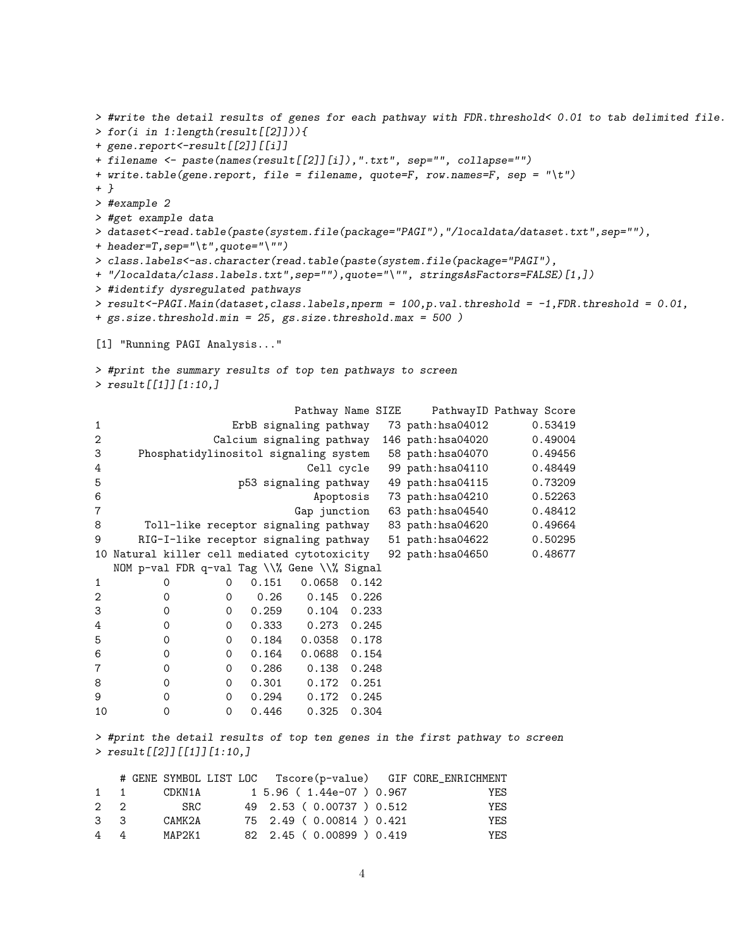```
> #write the detail results of genes for each pathway with FDR.threshold< 0.01 to tab delimited file.
> for(i in 1:length(result[[2]])){
+ gene.report<-result[[2]][[i]]
+ filename <- paste(names(result[[2]][i]),".txt", sep="", collapse="")
+ write.table(gene.report, file = filename, quote=F, row.names=F, sep = "\t")
+ }
> #example 2
> #get example data
> dataset<-read.table(paste(system.file(package="PAGI"),"/localdata/dataset.txt",sep=""),
+ header=T,sep="\t",quote="\"")
> class.labels<-as.character(read.table(paste(system.file(package="PAGI"),
+ "/localdata/class.labels.txt",sep=""),quote="\"", stringsAsFactors=FALSE)[1,])
> #identify dysregulated pathways
> result < -PAGI.Main(data set, class. labels, <i>nperm</i> = 100, p. val. threshold = -1, FDR. threshold = 0.01,+ gs.size.threshold.min = 25, gs.size.threshold.max = 500 )
[1] "Running PAGI Analysis..."
> #print the summary results of top ten pathways to screen
> result[[1]][1:10,]
                          Pathway Name SIZE PathwayID Pathway Score
1 ErbB signaling pathway 73 path:hsa04012 0.53419
2 Calcium signaling pathway 146 path:hsa04020 0.49004
3 Phosphatidylinositol signaling system 58 path:hsa04070 0.49456
4 Cell cycle 99 path:hsa04110 0.48449<br>5 p53 signaling pathway 49 path:hsa04115 0.73209
                   5 p53 signaling pathway 49 path:hsa04115 0.73209
6 Apoptosis 73 path:hsa04210 0.52263
7 Gap junction 63 path:hsa04540 0.48412
8 Toll-like receptor signaling pathway 83 path:hsa04620 0.49664
9 RIG-I-like receptor signaling pathway 51 path:hsa04622 0.50295
10 Natural killer cell mediated cytotoxicity 92 path:hsa04650 0.48677
  NOM p-val FDR q-val Tag \\% Gene \\% Signal
1 0 0 0.151 0.0658 0.142
2 0 0 0.26 0.145 0.226
3 0 0 0.259 0.104 0.233
4 0 0 0.333 0.273 0.245
5 0 0 0.184 0.0358 0.178
6 0 0 0.164 0.0688 0.154
7 0 0 0.286 0.138 0.248
8 0 0 0.301 0.172 0.251
9 0 0 0.294 0.172 0.245
10 0 0 0.446 0.325 0.304
> #print the detail results of top ten genes in the first pathway to screen
```
> result[[2]][[1]][1:10,]

| $1 \quad 1$      |  | CDKN1A      |  | 1 5.96 ( 1.44e-07 ) 0.967 | YES  |
|------------------|--|-------------|--|---------------------------|------|
| $2 \quad 2$      |  | ${\tt SRC}$ |  | 49 2.53 (0.00737) 0.512   | YES  |
| $3 \overline{3}$ |  | CAMK2A      |  | 75 2.49 (0.00814) 0.421   | YF.S |
| 44               |  | MAP2K1      |  | 82 2.45 (0.00899) 0.419   | YF.S |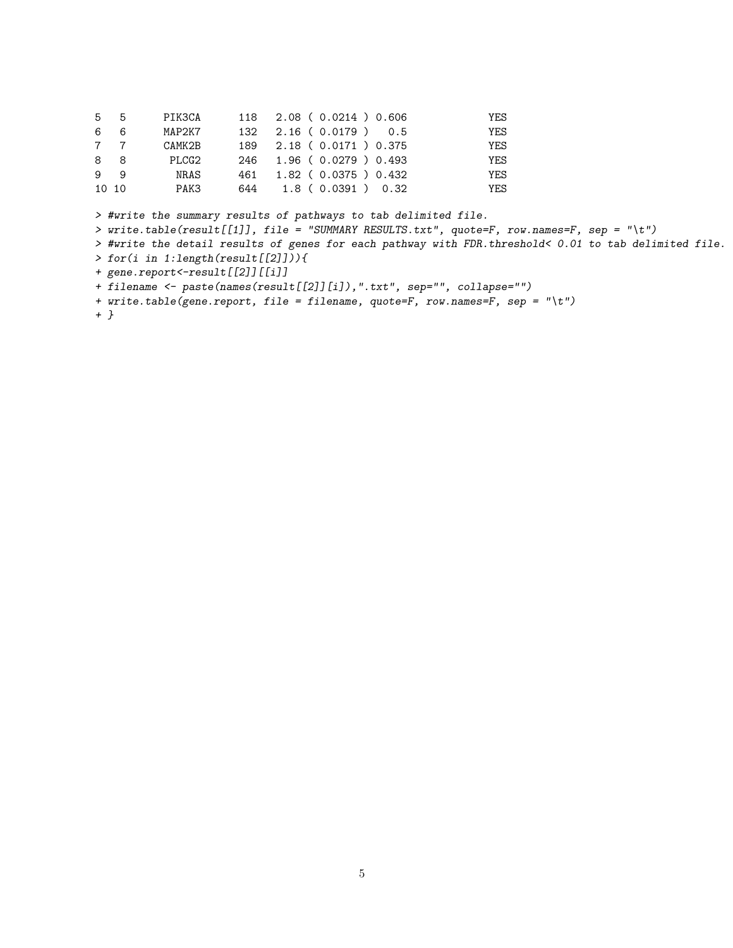| 5 5   |     | PIK3CA |     | 118 2.08 ( 0.0214 ) 0.606 | YES |
|-------|-----|--------|-----|---------------------------|-----|
| 6     | - 6 | MAP2K7 |     | $132$ $2.16$ (0.0179) 0.5 | YES |
|       | 7 7 | CAMK2B |     | 189 2.18 ( 0.0171 ) 0.375 | YES |
| 88    |     | PLCG2  |     | 246 1.96 (0.0279) 0.493   | YES |
| 99    |     | NRAS   | 461 | $1.82$ ( 0.0375 ) 0.432   | YES |
| 10 10 |     | PAK3   |     | 644 1.8 (0.0391) 0.32     | YES |

> #write the summary results of pathways to tab delimited file.

> write.table(result[[1]], file = "SUMMARY RESULTS.txt", quote=F, row.names=F, sep = "\t")

> #write the detail results of genes for each pathway with FDR.threshold< 0.01 to tab delimited file.

> for(i in 1:length(result[[2]])){

+ gene.report<-result[[2]][[i]]

+ filename <- paste(names(result[[2]][i]),".txt", sep="", collapse="")

+ write.table(gene.report, file = filename, quote=F, row.names=F, sep = "\t")

+ }